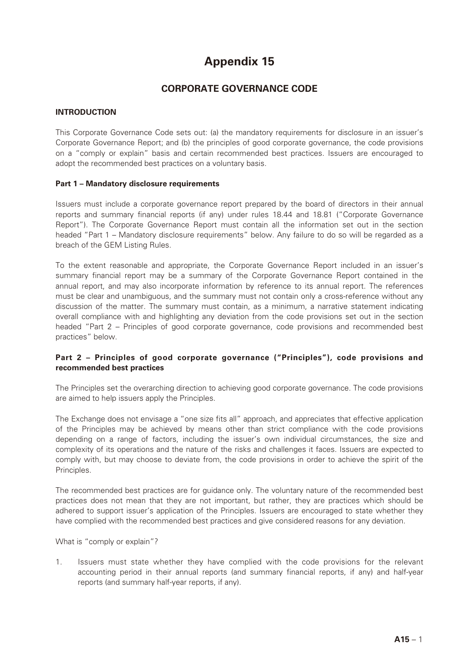# **Appendix 15**

## **CORPORATE GOVERNANCE CODE**

## **INTRODUCTION**

This Corporate Governance Code sets out: (a) the mandatory requirements for disclosure in an issuer's Corporate Governance Report; and (b) the principles of good corporate governance, the code provisions on a "comply or explain" basis and certain recommended best practices. Issuers are encouraged to adopt the recommended best practices on a voluntary basis.

#### **Part 1 – Mandatory disclosure requirements**

Issuers must include a corporate governance report prepared by the board of directors in their annual reports and summary financial reports (if any) under rules 18.44 and 18.81 ("Corporate Governance Report"). The Corporate Governance Report must contain all the information set out in the section headed "Part 1 – Mandatory disclosure requirements" below. Any failure to do so will be regarded as a breach of the GEM Listing Rules.

To the extent reasonable and appropriate, the Corporate Governance Report included in an issuer's summary financial report may be a summary of the Corporate Governance Report contained in the annual report, and may also incorporate information by reference to its annual report. The references must be clear and unambiguous, and the summary must not contain only a cross-reference without any discussion of the matter. The summary must contain, as a minimum, a narrative statement indicating overall compliance with and highlighting any deviation from the code provisions set out in the section headed "Part 2 – Principles of good corporate governance, code provisions and recommended best practices" below.

## **Part 2 – Principles of good corporate governance ("Principles"), code provisions and recommended best practices**

The Principles set the overarching direction to achieving good corporate governance. The code provisions are aimed to help issuers apply the Principles.

The Exchange does not envisage a "one size fits all" approach, and appreciates that effective application of the Principles may be achieved by means other than strict compliance with the code provisions depending on a range of factors, including the issuer's own individual circumstances, the size and complexity of its operations and the nature of the risks and challenges it faces. Issuers are expected to comply with, but may choose to deviate from, the code provisions in order to achieve the spirit of the Principles.

The recommended best practices are for guidance only. The voluntary nature of the recommended best practices does not mean that they are not important, but rather, they are practices which should be adhered to support issuer's application of the Principles. Issuers are encouraged to state whether they have complied with the recommended best practices and give considered reasons for any deviation.

What is "comply or explain"?

1. Issuers must state whether they have complied with the code provisions for the relevant accounting period in their annual reports (and summary financial reports, if any) and half-year reports (and summary half-year reports, if any).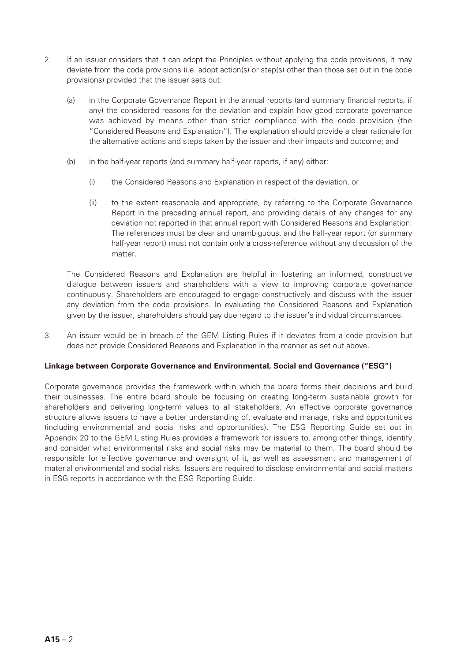- 2. If an issuer considers that it can adopt the Principles without applying the code provisions, it may deviate from the code provisions (i.e. adopt action(s) or step(s) other than those set out in the code provisions) provided that the issuer sets out:
	- (a) in the Corporate Governance Report in the annual reports (and summary financial reports, if any) the considered reasons for the deviation and explain how good corporate governance was achieved by means other than strict compliance with the code provision (the "Considered Reasons and Explanation"). The explanation should provide a clear rationale for the alternative actions and steps taken by the issuer and their impacts and outcome; and
	- (b) in the half-year reports (and summary half-year reports, if any) either:
		- (i) the Considered Reasons and Explanation in respect of the deviation, or
		- (ii) to the extent reasonable and appropriate, by referring to the Corporate Governance Report in the preceding annual report, and providing details of any changes for any deviation not reported in that annual report with Considered Reasons and Explanation. The references must be clear and unambiguous, and the half-year report (or summary half-year report) must not contain only a cross-reference without any discussion of the matter.

The Considered Reasons and Explanation are helpful in fostering an informed, constructive dialogue between issuers and shareholders with a view to improving corporate governance continuously. Shareholders are encouraged to engage constructively and discuss with the issuer any deviation from the code provisions. In evaluating the Considered Reasons and Explanation given by the issuer, shareholders should pay due regard to the issuer's individual circumstances.

3. An issuer would be in breach of the GEM Listing Rules if it deviates from a code provision but does not provide Considered Reasons and Explanation in the manner as set out above.

#### **Linkage between Corporate Governance and Environmental, Social and Governance ("ESG")**

Corporate governance provides the framework within which the board forms their decisions and build their businesses. The entire board should be focusing on creating long-term sustainable growth for shareholders and delivering long-term values to all stakeholders. An effective corporate governance structure allows issuers to have a better understanding of, evaluate and manage, risks and opportunities (including environmental and social risks and opportunities). The ESG Reporting Guide set out in Appendix 20 to the GEM Listing Rules provides a framework for issuers to, among other things, identify and consider what environmental risks and social risks may be material to them. The board should be responsible for effective governance and oversight of it, as well as assessment and management of material environmental and social risks. Issuers are required to disclose environmental and social matters in ESG reports in accordance with the ESG Reporting Guide.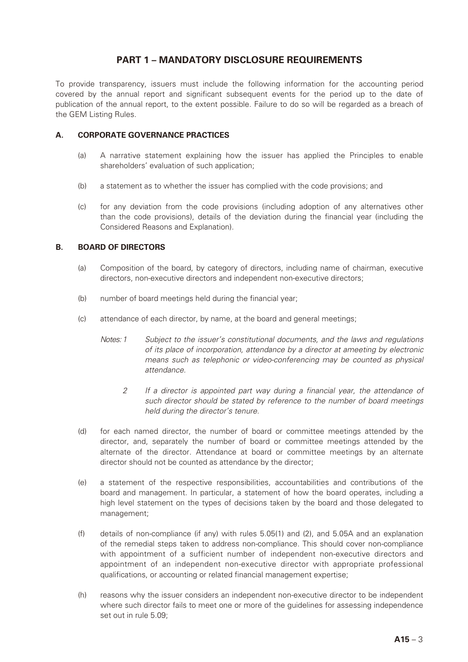## **PART 1 – MANDATORY DISCLOSURE REQUIREMENTS**

To provide transparency, issuers must include the following information for the accounting period covered by the annual report and significant subsequent events for the period up to the date of publication of the annual report, to the extent possible. Failure to do so will be regarded as a breach of the GEM Listing Rules.

## **A. CORPORATE GOVERNANCE PRACTICES**

- (a) A narrative statement explaining how the issuer has applied the Principles to enable shareholders' evaluation of such application;
- (b) a statement as to whether the issuer has complied with the code provisions; and
- (c) for any deviation from the code provisions (including adoption of any alternatives other than the code provisions), details of the deviation during the financial year (including the Considered Reasons and Explanation).

## **B. BOARD OF DIRECTORS**

- (a) Composition of the board, by category of directors, including name of chairman, executive directors, non-executive directors and independent non-executive directors;
- (b) number of board meetings held during the financial year;
- (c) attendance of each director, by name, at the board and general meetings;
	- *Notes: 1 Subject to the issuer's constitutional documents, and the laws and regulations of its place of incorporation, attendance by a director at ameeting by electronic means such as telephonic or video-conferencing may be counted as physical attendance.*
		- *2 If a director is appointed part way during a financial year, the attendance of such director should be stated by reference to the number of board meetings held during the director's tenure.*
- (d) for each named director, the number of board or committee meetings attended by the director, and, separately the number of board or committee meetings attended by the alternate of the director. Attendance at board or committee meetings by an alternate director should not be counted as attendance by the director;
- (e) a statement of the respective responsibilities, accountabilities and contributions of the board and management. In particular, a statement of how the board operates, including a high level statement on the types of decisions taken by the board and those delegated to management;
- (f) details of non-compliance (if any) with rules 5.05(1) and (2), and 5.05A and an explanation of the remedial steps taken to address non-compliance. This should cover non-compliance with appointment of a sufficient number of independent non-executive directors and appointment of an independent non-executive director with appropriate professional qualifications, or accounting or related financial management expertise;
- (h) reasons why the issuer considers an independent non-executive director to be independent where such director fails to meet one or more of the guidelines for assessing independence set out in rule 5.09;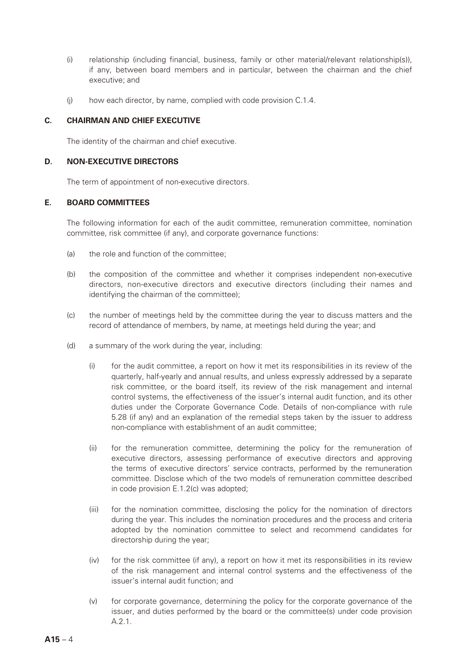- (i) relationship (including financial, business, family or other material/relevant relationship(s)), if any, between board members and in particular, between the chairman and the chief executive; and
- (j) how each director, by name, complied with code provision C.1.4.

#### **C. CHAIRMAN AND CHIEF EXECUTIVE**

The identity of the chairman and chief executive.

#### **D. NON-EXECUTIVE DIRECTORS**

The term of appointment of non-executive directors.

## **E. BOARD COMMITTEES**

The following information for each of the audit committee, remuneration committee, nomination committee, risk committee (if any), and corporate governance functions:

- (a) the role and function of the committee;
- (b) the composition of the committee and whether it comprises independent non-executive directors, non-executive directors and executive directors (including their names and identifying the chairman of the committee);
- (c) the number of meetings held by the committee during the year to discuss matters and the record of attendance of members, by name, at meetings held during the year; and
- (d) a summary of the work during the year, including:
	- (i) for the audit committee, a report on how it met its responsibilities in its review of the quarterly, half-yearly and annual results, and unless expressly addressed by a separate risk committee, or the board itself, its review of the risk management and internal control systems, the effectiveness of the issuer's internal audit function, and its other duties under the Corporate Governance Code. Details of non-compliance with rule 5.28 (if any) and an explanation of the remedial steps taken by the issuer to address non-compliance with establishment of an audit committee;
	- (ii) for the remuneration committee, determining the policy for the remuneration of executive directors, assessing performance of executive directors and approving the terms of executive directors' service contracts, performed by the remuneration committee. Disclose which of the two models of remuneration committee described in code provision E.1.2(c) was adopted;
	- (iii) for the nomination committee, disclosing the policy for the nomination of directors during the year. This includes the nomination procedures and the process and criteria adopted by the nomination committee to select and recommend candidates for directorship during the year;
	- (iv) for the risk committee (if any), a report on how it met its responsibilities in its review of the risk management and internal control systems and the effectiveness of the issuer's internal audit function; and
	- (v) for corporate governance, determining the policy for the corporate governance of the issuer, and duties performed by the board or the committee(s) under code provision A.2.1.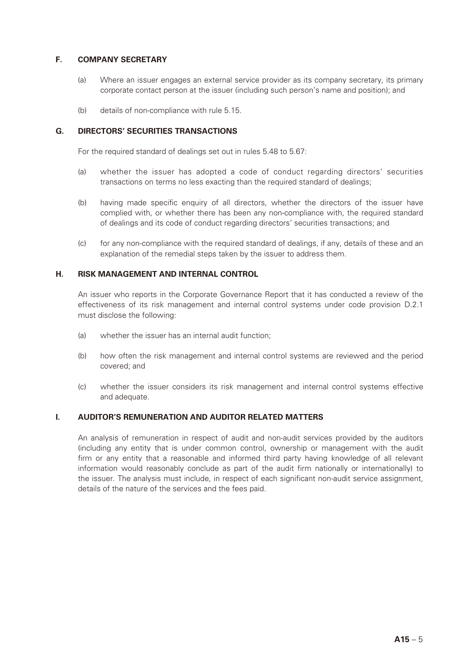## **F. COMPANY SECRETARY**

- (a) Where an issuer engages an external service provider as its company secretary, its primary corporate contact person at the issuer (including such person's name and position); and
- (b) details of non-compliance with rule 5.15.

#### **G. DIRECTORS' SECURITIES TRANSACTIONS**

For the required standard of dealings set out in rules 5.48 to 5.67:

- (a) whether the issuer has adopted a code of conduct regarding directors' securities transactions on terms no less exacting than the required standard of dealings;
- (b) having made specific enquiry of all directors, whether the directors of the issuer have complied with, or whether there has been any non-compliance with, the required standard of dealings and its code of conduct regarding directors' securities transactions; and
- (c) for any non-compliance with the required standard of dealings, if any, details of these and an explanation of the remedial steps taken by the issuer to address them.

#### **H. RISK MANAGEMENT AND INTERNAL CONTROL**

An issuer who reports in the Corporate Governance Report that it has conducted a review of the effectiveness of its risk management and internal control systems under code provision D.2.1 must disclose the following:

- (a) whether the issuer has an internal audit function;
- (b) how often the risk management and internal control systems are reviewed and the period covered; and
- (c) whether the issuer considers its risk management and internal control systems effective and adequate.

#### **I. AUDITOR'S REMUNERATION AND AUDITOR RELATED MATTERS**

An analysis of remuneration in respect of audit and non-audit services provided by the auditors (including any entity that is under common control, ownership or management with the audit firm or any entity that a reasonable and informed third party having knowledge of all relevant information would reasonably conclude as part of the audit firm nationally or internationally) to the issuer. The analysis must include, in respect of each significant non-audit service assignment, details of the nature of the services and the fees paid.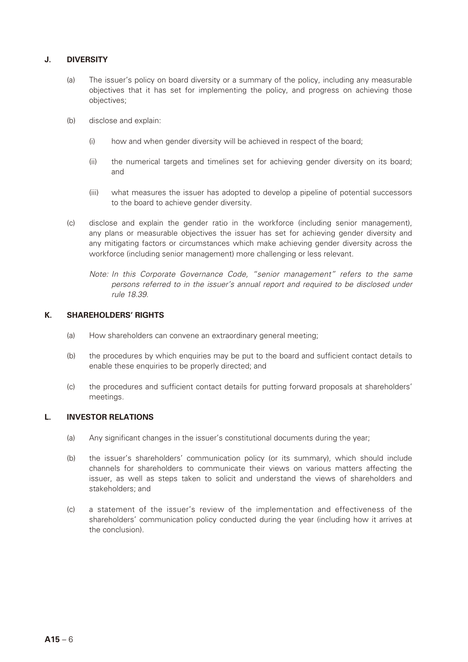## **J. DIVERSITY**

- (a) The issuer's policy on board diversity or a summary of the policy, including any measurable objectives that it has set for implementing the policy, and progress on achieving those objectives;
- (b) disclose and explain:
	- (i) how and when gender diversity will be achieved in respect of the board;
	- (ii) the numerical targets and timelines set for achieving gender diversity on its board; and
	- (iii) what measures the issuer has adopted to develop a pipeline of potential successors to the board to achieve gender diversity.
- (c) disclose and explain the gender ratio in the workforce (including senior management), any plans or measurable objectives the issuer has set for achieving gender diversity and any mitigating factors or circumstances which make achieving gender diversity across the workforce (including senior management) more challenging or less relevant.
	- *Note: In this Corporate Governance Code, "senior management" refers to the same persons referred to in the issuer's annual report and required to be disclosed under rule 18.39.*

## **K. SHAREHOLDERS' RIGHTS**

- (a) How shareholders can convene an extraordinary general meeting;
- (b) the procedures by which enquiries may be put to the board and sufficient contact details to enable these enquiries to be properly directed; and
- (c) the procedures and sufficient contact details for putting forward proposals at shareholders' meetings.

### **L. INVESTOR RELATIONS**

- (a) Any significant changes in the issuer's constitutional documents during the year;
- (b) the issuer's shareholders' communication policy (or its summary), which should include channels for shareholders to communicate their views on various matters affecting the issuer, as well as steps taken to solicit and understand the views of shareholders and stakeholders; and
- (c) a statement of the issuer's review of the implementation and effectiveness of the shareholders' communication policy conducted during the year (including how it arrives at the conclusion).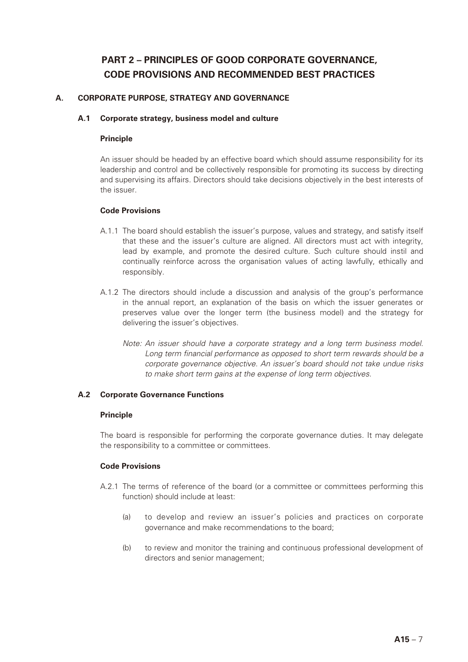## **PART 2 – PRINCIPLES OF GOOD CORPORATE GOVERNANCE, CODE PROVISIONS AND RECOMMENDED BEST PRACTICES**

## **A. CORPORATE PURPOSE, STRATEGY AND GOVERNANCE**

## **A.1 Corporate strategy, business model and culture**

## **Principle**

An issuer should be headed by an effective board which should assume responsibility for its leadership and control and be collectively responsible for promoting its success by directing and supervising its affairs. Directors should take decisions objectively in the best interests of the issuer.

## **Code Provisions**

- A.1.1 The board should establish the issuer's purpose, values and strategy, and satisfy itself that these and the issuer's culture are aligned. All directors must act with integrity, lead by example, and promote the desired culture. Such culture should instil and continually reinforce across the organisation values of acting lawfully, ethically and responsibly.
- A.1.2 The directors should include a discussion and analysis of the group's performance in the annual report, an explanation of the basis on which the issuer generates or preserves value over the longer term (the business model) and the strategy for delivering the issuer's objectives.
	- *Note: An issuer should have a corporate strategy and a long term business model. Long term financial performance as opposed to short term rewards should be a corporate governance objective. An issuer's board should not take undue risks to make short term gains at the expense of long term objectives.*

## **A.2 Corporate Governance Functions**

#### **Principle**

The board is responsible for performing the corporate governance duties. It may delegate the responsibility to a committee or committees.

- A.2.1 The terms of reference of the board (or a committee or committees performing this function) should include at least:
	- (a) to develop and review an issuer's policies and practices on corporate governance and make recommendations to the board;
	- (b) to review and monitor the training and continuous professional development of directors and senior management;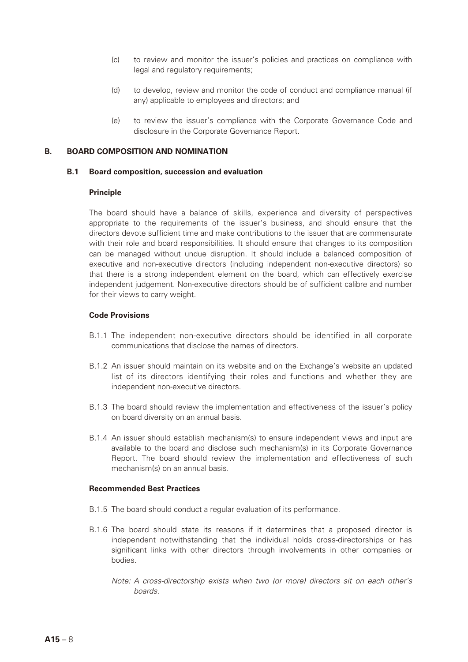- (c) to review and monitor the issuer's policies and practices on compliance with legal and regulatory requirements;
- (d) to develop, review and monitor the code of conduct and compliance manual (if any) applicable to employees and directors; and
- (e) to review the issuer's compliance with the Corporate Governance Code and disclosure in the Corporate Governance Report.

## **B. BOARD COMPOSITION AND NOMINATION**

#### **B.1 Board composition, succession and evaluation**

#### **Principle**

The board should have a balance of skills, experience and diversity of perspectives appropriate to the requirements of the issuer's business, and should ensure that the directors devote sufficient time and make contributions to the issuer that are commensurate with their role and board responsibilities. It should ensure that changes to its composition can be managed without undue disruption. It should include a balanced composition of executive and non-executive directors (including independent non-executive directors) so that there is a strong independent element on the board, which can effectively exercise independent judgement. Non-executive directors should be of sufficient calibre and number for their views to carry weight.

#### **Code Provisions**

- B.1.1 The independent non-executive directors should be identified in all corporate communications that disclose the names of directors.
- B.1.2 An issuer should maintain on its website and on the Exchange's website an updated list of its directors identifying their roles and functions and whether they are independent non-executive directors.
- B.1.3 The board should review the implementation and effectiveness of the issuer's policy on board diversity on an annual basis.
- B.1.4 An issuer should establish mechanism(s) to ensure independent views and input are available to the board and disclose such mechanism(s) in its Corporate Governance Report. The board should review the implementation and effectiveness of such mechanism(s) on an annual basis.

#### **Recommended Best Practices**

- B.1.5 The board should conduct a regular evaluation of its performance.
- B.1.6 The board should state its reasons if it determines that a proposed director is independent notwithstanding that the individual holds cross-directorships or has significant links with other directors through involvements in other companies or bodies.
	- *Note: A cross-directorship exists when two (or more) directors sit on each other's boards.*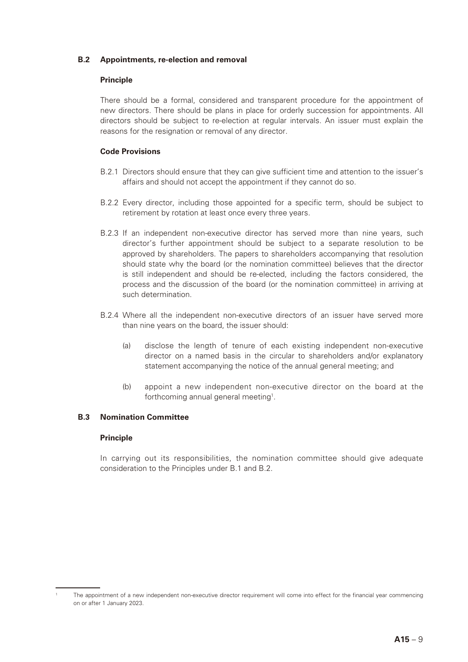## **B.2 Appointments, re-election and removal**

## **Principle**

There should be a formal, considered and transparent procedure for the appointment of new directors. There should be plans in place for orderly succession for appointments. All directors should be subject to re-election at regular intervals. An issuer must explain the reasons for the resignation or removal of any director.

## **Code Provisions**

- B.2.1 Directors should ensure that they can give sufficient time and attention to the issuer's affairs and should not accept the appointment if they cannot do so.
- B.2.2 Every director, including those appointed for a specific term, should be subject to retirement by rotation at least once every three years.
- B.2.3 If an independent non-executive director has served more than nine years, such director's further appointment should be subject to a separate resolution to be approved by shareholders. The papers to shareholders accompanying that resolution should state why the board (or the nomination committee) believes that the director is still independent and should be re-elected, including the factors considered, the process and the discussion of the board (or the nomination committee) in arriving at such determination.
- B.2.4 Where all the independent non-executive directors of an issuer have served more than nine years on the board, the issuer should:
	- (a) disclose the length of tenure of each existing independent non-executive director on a named basis in the circular to shareholders and/or explanatory statement accompanying the notice of the annual general meeting; and
	- (b) appoint a new independent non-executive director on the board at the forthcoming annual general meeting<sup>1</sup>.

### **B.3 Nomination Committee**

#### **Principle**

In carrying out its responsibilities, the nomination committee should give adequate consideration to the Principles under B.1 and B.2.

The appointment of a new independent non-executive director requirement will come into effect for the financial year commencing on or after 1 January 2023.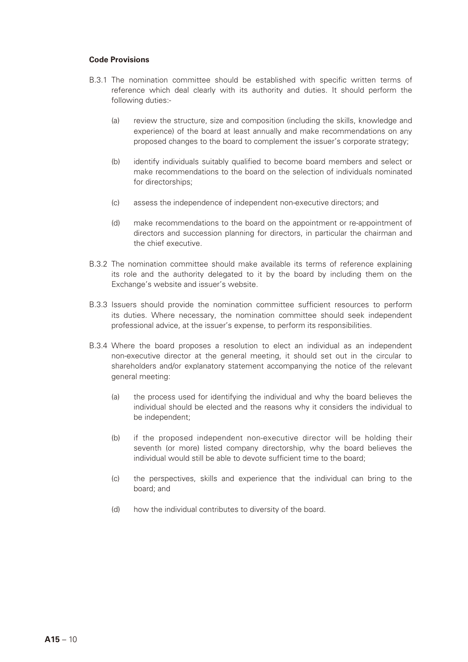- B.3.1 The nomination committee should be established with specific written terms of reference which deal clearly with its authority and duties. It should perform the following duties:-
	- (a) review the structure, size and composition (including the skills, knowledge and experience) of the board at least annually and make recommendations on any proposed changes to the board to complement the issuer's corporate strategy;
	- (b) identify individuals suitably qualified to become board members and select or make recommendations to the board on the selection of individuals nominated for directorships;
	- (c) assess the independence of independent non-executive directors; and
	- (d) make recommendations to the board on the appointment or re-appointment of directors and succession planning for directors, in particular the chairman and the chief executive.
- B.3.2 The nomination committee should make available its terms of reference explaining its role and the authority delegated to it by the board by including them on the Exchange's website and issuer's website.
- B.3.3 Issuers should provide the nomination committee sufficient resources to perform its duties. Where necessary, the nomination committee should seek independent professional advice, at the issuer's expense, to perform its responsibilities.
- B.3.4 Where the board proposes a resolution to elect an individual as an independent non-executive director at the general meeting, it should set out in the circular to shareholders and/or explanatory statement accompanying the notice of the relevant general meeting:
	- (a) the process used for identifying the individual and why the board believes the individual should be elected and the reasons why it considers the individual to be independent;
	- (b) if the proposed independent non-executive director will be holding their seventh (or more) listed company directorship, why the board believes the individual would still be able to devote sufficient time to the board;
	- (c) the perspectives, skills and experience that the individual can bring to the board; and
	- (d) how the individual contributes to diversity of the board.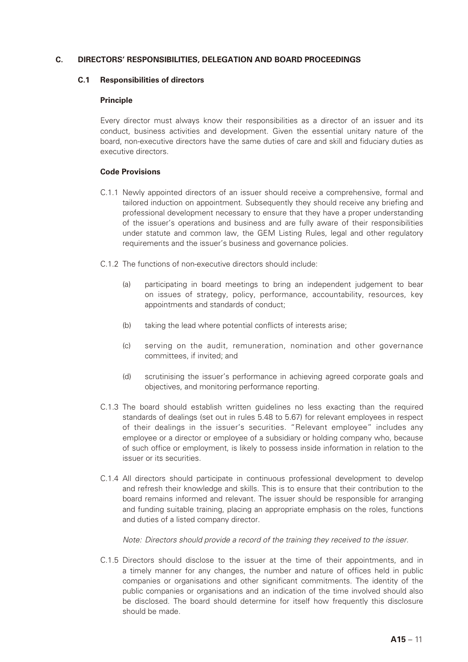## **C. DIRECTORS' RESPONSIBILITIES, DELEGATION AND BOARD PROCEEDINGS**

#### **C.1 Responsibilities of directors**

## **Principle**

Every director must always know their responsibilities as a director of an issuer and its conduct, business activities and development. Given the essential unitary nature of the board, non-executive directors have the same duties of care and skill and fiduciary duties as executive directors.

## **Code Provisions**

- C.1.1 Newly appointed directors of an issuer should receive a comprehensive, formal and tailored induction on appointment. Subsequently they should receive any briefing and professional development necessary to ensure that they have a proper understanding of the issuer's operations and business and are fully aware of their responsibilities under statute and common law, the GEM Listing Rules, legal and other regulatory requirements and the issuer's business and governance policies.
- C.1.2 The functions of non-executive directors should include:
	- (a) participating in board meetings to bring an independent judgement to bear on issues of strategy, policy, performance, accountability, resources, key appointments and standards of conduct;
	- (b) taking the lead where potential conflicts of interests arise;
	- (c) serving on the audit, remuneration, nomination and other governance committees, if invited; and
	- (d) scrutinising the issuer's performance in achieving agreed corporate goals and objectives, and monitoring performance reporting.
- C.1.3 The board should establish written guidelines no less exacting than the required standards of dealings (set out in rules 5.48 to 5.67) for relevant employees in respect of their dealings in the issuer's securities. "Relevant employee" includes any employee or a director or employee of a subsidiary or holding company who, because of such office or employment, is likely to possess inside information in relation to the issuer or its securities.
- C.1.4 All directors should participate in continuous professional development to develop and refresh their knowledge and skills. This is to ensure that their contribution to the board remains informed and relevant. The issuer should be responsible for arranging and funding suitable training, placing an appropriate emphasis on the roles, functions and duties of a listed company director.

*Note: Directors should provide a record of the training they received to the issuer.*

C.1.5 Directors should disclose to the issuer at the time of their appointments, and in a timely manner for any changes, the number and nature of offices held in public companies or organisations and other significant commitments. The identity of the public companies or organisations and an indication of the time involved should also be disclosed. The board should determine for itself how frequently this disclosure should be made.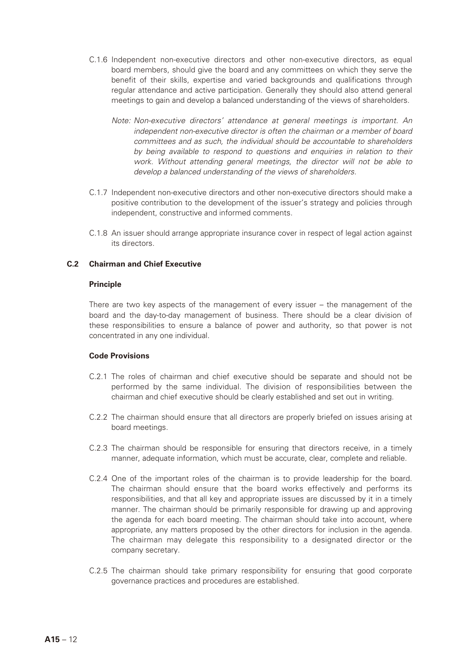- C.1.6 Independent non-executive directors and other non-executive directors, as equal board members, should give the board and any committees on which they serve the benefit of their skills, expertise and varied backgrounds and qualifications through regular attendance and active participation. Generally they should also attend general meetings to gain and develop a balanced understanding of the views of shareholders.
	- *Note: Non-executive directors' attendance at general meetings is important. An independent non-executive director is often the chairman or a member of board committees and as such, the individual should be accountable to shareholders by being available to respond to questions and enquiries in relation to their work. Without attending general meetings, the director will not be able to develop a balanced understanding of the views of shareholders.*
- C.1.7 Independent non-executive directors and other non-executive directors should make a positive contribution to the development of the issuer's strategy and policies through independent, constructive and informed comments.
- C.1.8 An issuer should arrange appropriate insurance cover in respect of legal action against its directors.

#### **C.2 Chairman and Chief Executive**

#### **Principle**

There are two key aspects of the management of every issuer – the management of the board and the day-to-day management of business. There should be a clear division of these responsibilities to ensure a balance of power and authority, so that power is not concentrated in any one individual.

- C.2.1 The roles of chairman and chief executive should be separate and should not be performed by the same individual. The division of responsibilities between the chairman and chief executive should be clearly established and set out in writing.
- C.2.2 The chairman should ensure that all directors are properly briefed on issues arising at board meetings.
- C.2.3 The chairman should be responsible for ensuring that directors receive, in a timely manner, adequate information, which must be accurate, clear, complete and reliable.
- C.2.4 One of the important roles of the chairman is to provide leadership for the board. The chairman should ensure that the board works effectively and performs its responsibilities, and that all key and appropriate issues are discussed by it in a timely manner. The chairman should be primarily responsible for drawing up and approving the agenda for each board meeting. The chairman should take into account, where appropriate, any matters proposed by the other directors for inclusion in the agenda. The chairman may delegate this responsibility to a designated director or the company secretary.
- C.2.5 The chairman should take primary responsibility for ensuring that good corporate governance practices and procedures are established.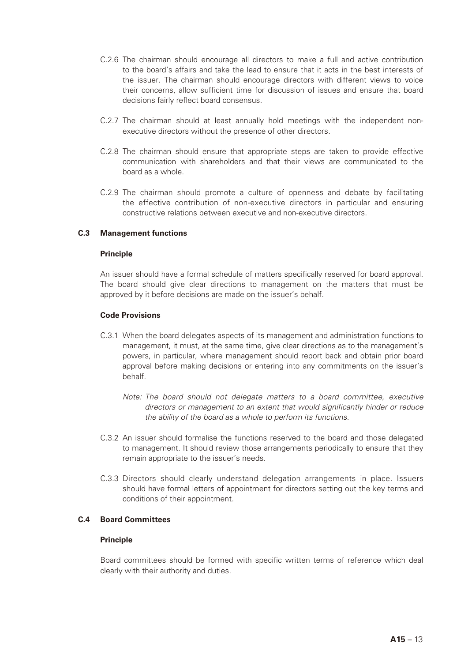- C.2.6 The chairman should encourage all directors to make a full and active contribution to the board's affairs and take the lead to ensure that it acts in the best interests of the issuer. The chairman should encourage directors with different views to voice their concerns, allow sufficient time for discussion of issues and ensure that board decisions fairly reflect board consensus.
- C.2.7 The chairman should at least annually hold meetings with the independent nonexecutive directors without the presence of other directors.
- C.2.8 The chairman should ensure that appropriate steps are taken to provide effective communication with shareholders and that their views are communicated to the board as a whole.
- C.2.9 The chairman should promote a culture of openness and debate by facilitating the effective contribution of non-executive directors in particular and ensuring constructive relations between executive and non-executive directors.

## **C.3 Management functions**

#### **Principle**

An issuer should have a formal schedule of matters specifically reserved for board approval. The board should give clear directions to management on the matters that must be approved by it before decisions are made on the issuer's behalf.

#### **Code Provisions**

- C.3.1 When the board delegates aspects of its management and administration functions to management, it must, at the same time, give clear directions as to the management's powers, in particular, where management should report back and obtain prior board approval before making decisions or entering into any commitments on the issuer's behalf.
	- *Note: The board should not delegate matters to a board committee, executive directors or management to an extent that would significantly hinder or reduce the ability of the board as a whole to perform its functions.*
- C.3.2 An issuer should formalise the functions reserved to the board and those delegated to management. It should review those arrangements periodically to ensure that they remain appropriate to the issuer's needs.
- C.3.3 Directors should clearly understand delegation arrangements in place. Issuers should have formal letters of appointment for directors setting out the key terms and conditions of their appointment.

#### **C.4 Board Committees**

#### **Principle**

Board committees should be formed with specific written terms of reference which deal clearly with their authority and duties.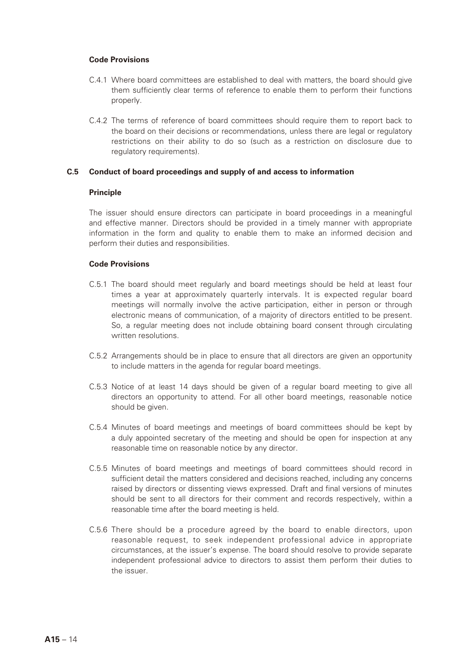#### **Code Provisions**

- C.4.1 Where board committees are established to deal with matters, the board should give them sufficiently clear terms of reference to enable them to perform their functions properly.
- C.4.2 The terms of reference of board committees should require them to report back to the board on their decisions or recommendations, unless there are legal or regulatory restrictions on their ability to do so (such as a restriction on disclosure due to regulatory requirements).

#### **C.5 Conduct of board proceedings and supply of and access to information**

#### **Principle**

The issuer should ensure directors can participate in board proceedings in a meaningful and effective manner. Directors should be provided in a timely manner with appropriate information in the form and quality to enable them to make an informed decision and perform their duties and responsibilities.

- C.5.1 The board should meet regularly and board meetings should be held at least four times a year at approximately quarterly intervals. It is expected regular board meetings will normally involve the active participation, either in person or through electronic means of communication, of a majority of directors entitled to be present. So, a regular meeting does not include obtaining board consent through circulating written resolutions.
- C.5.2 Arrangements should be in place to ensure that all directors are given an opportunity to include matters in the agenda for regular board meetings.
- C.5.3 Notice of at least 14 days should be given of a regular board meeting to give all directors an opportunity to attend. For all other board meetings, reasonable notice should be given.
- C.5.4 Minutes of board meetings and meetings of board committees should be kept by a duly appointed secretary of the meeting and should be open for inspection at any reasonable time on reasonable notice by any director.
- C.5.5 Minutes of board meetings and meetings of board committees should record in sufficient detail the matters considered and decisions reached, including any concerns raised by directors or dissenting views expressed. Draft and final versions of minutes should be sent to all directors for their comment and records respectively, within a reasonable time after the board meeting is held.
- C.5.6 There should be a procedure agreed by the board to enable directors, upon reasonable request, to seek independent professional advice in appropriate circumstances, at the issuer's expense. The board should resolve to provide separate independent professional advice to directors to assist them perform their duties to the issuer.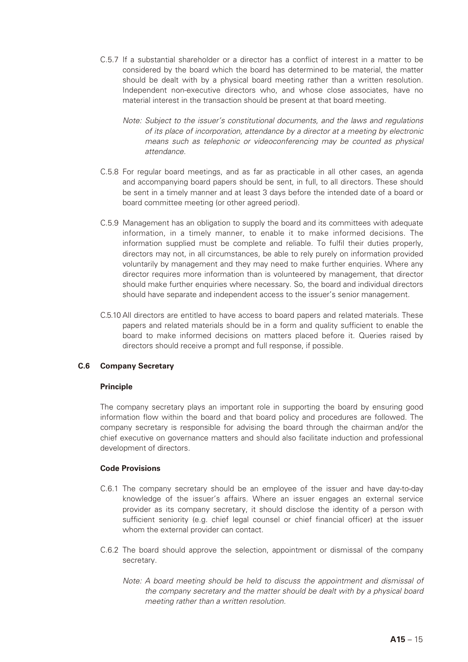- C.5.7 If a substantial shareholder or a director has a conflict of interest in a matter to be considered by the board which the board has determined to be material, the matter should be dealt with by a physical board meeting rather than a written resolution. Independent non-executive directors who, and whose close associates, have no material interest in the transaction should be present at that board meeting.
	- *Note: Subject to the issuer's constitutional documents, and the laws and regulations of its place of incorporation, attendance by a director at a meeting by electronic means such as telephonic or videoconferencing may be counted as physical attendance.*
- C.5.8 For regular board meetings, and as far as practicable in all other cases, an agenda and accompanying board papers should be sent, in full, to all directors. These should be sent in a timely manner and at least 3 days before the intended date of a board or board committee meeting (or other agreed period).
- C.5.9 Management has an obligation to supply the board and its committees with adequate information, in a timely manner, to enable it to make informed decisions. The information supplied must be complete and reliable. To fulfil their duties properly, directors may not, in all circumstances, be able to rely purely on information provided voluntarily by management and they may need to make further enquiries. Where any director requires more information than is volunteered by management, that director should make further enquiries where necessary. So, the board and individual directors should have separate and independent access to the issuer's senior management.
- C.5.10 All directors are entitled to have access to board papers and related materials. These papers and related materials should be in a form and quality sufficient to enable the board to make informed decisions on matters placed before it. Queries raised by directors should receive a prompt and full response, if possible.

## **C.6 Company Secretary**

#### **Principle**

The company secretary plays an important role in supporting the board by ensuring good information flow within the board and that board policy and procedures are followed. The company secretary is responsible for advising the board through the chairman and/or the chief executive on governance matters and should also facilitate induction and professional development of directors.

- C.6.1 The company secretary should be an employee of the issuer and have day-to-day knowledge of the issuer's affairs. Where an issuer engages an external service provider as its company secretary, it should disclose the identity of a person with sufficient seniority (e.g. chief legal counsel or chief financial officer) at the issuer whom the external provider can contact.
- C.6.2 The board should approve the selection, appointment or dismissal of the company secretary.
	- *Note: A board meeting should be held to discuss the appointment and dismissal of the company secretary and the matter should be dealt with by a physical board meeting rather than a written resolution.*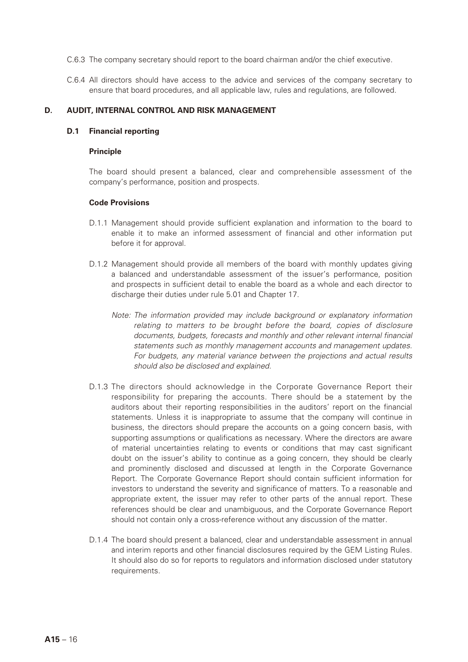- C.6.3 The company secretary should report to the board chairman and/or the chief executive.
- C.6.4 All directors should have access to the advice and services of the company secretary to ensure that board procedures, and all applicable law, rules and regulations, are followed.

#### **D. AUDIT, INTERNAL CONTROL AND RISK MANAGEMENT**

#### **D.1 Financial reporting**

#### **Principle**

The board should present a balanced, clear and comprehensible assessment of the company's performance, position and prospects.

- D.1.1 Management should provide sufficient explanation and information to the board to enable it to make an informed assessment of financial and other information put before it for approval.
- D.1.2 Management should provide all members of the board with monthly updates giving a balanced and understandable assessment of the issuer's performance, position and prospects in sufficient detail to enable the board as a whole and each director to discharge their duties under rule 5.01 and Chapter 17.
	- *Note: The information provided may include background or explanatory information relating to matters to be brought before the board, copies of disclosure documents, budgets, forecasts and monthly and other relevant internal financial statements such as monthly management accounts and management updates. For budgets, any material variance between the projections and actual results should also be disclosed and explained.*
- D.1.3 The directors should acknowledge in the Corporate Governance Report their responsibility for preparing the accounts. There should be a statement by the auditors about their reporting responsibilities in the auditors' report on the financial statements. Unless it is inappropriate to assume that the company will continue in business, the directors should prepare the accounts on a going concern basis, with supporting assumptions or qualifications as necessary. Where the directors are aware of material uncertainties relating to events or conditions that may cast significant doubt on the issuer's ability to continue as a going concern, they should be clearly and prominently disclosed and discussed at length in the Corporate Governance Report. The Corporate Governance Report should contain sufficient information for investors to understand the severity and significance of matters. To a reasonable and appropriate extent, the issuer may refer to other parts of the annual report. These references should be clear and unambiguous, and the Corporate Governance Report should not contain only a cross-reference without any discussion of the matter.
- D.1.4 The board should present a balanced, clear and understandable assessment in annual and interim reports and other financial disclosures required by the GEM Listing Rules. It should also do so for reports to regulators and information disclosed under statutory requirements.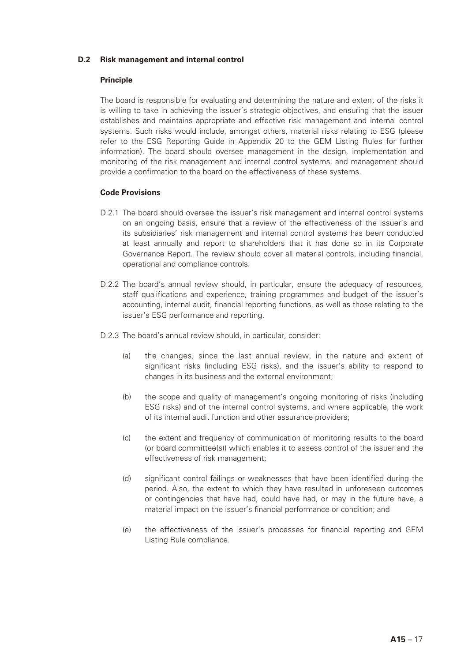## **D.2 Risk management and internal control**

## **Principle**

The board is responsible for evaluating and determining the nature and extent of the risks it is willing to take in achieving the issuer's strategic objectives, and ensuring that the issuer establishes and maintains appropriate and effective risk management and internal control systems. Such risks would include, amongst others, material risks relating to ESG (please refer to the ESG Reporting Guide in Appendix 20 to the GEM Listing Rules for further information). The board should oversee management in the design, implementation and monitoring of the risk management and internal control systems, and management should provide a confirmation to the board on the effectiveness of these systems.

- D.2.1 The board should oversee the issuer's risk management and internal control systems on an ongoing basis, ensure that a review of the effectiveness of the issuer's and its subsidiaries' risk management and internal control systems has been conducted at least annually and report to shareholders that it has done so in its Corporate Governance Report. The review should cover all material controls, including financial, operational and compliance controls.
- D.2.2 The board's annual review should, in particular, ensure the adequacy of resources, staff qualifications and experience, training programmes and budget of the issuer's accounting, internal audit, financial reporting functions, as well as those relating to the issuer's ESG performance and reporting.
- D.2.3 The board's annual review should, in particular, consider:
	- (a) the changes, since the last annual review, in the nature and extent of significant risks (including ESG risks), and the issuer's ability to respond to changes in its business and the external environment;
	- (b) the scope and quality of management's ongoing monitoring of risks (including ESG risks) and of the internal control systems, and where applicable, the work of its internal audit function and other assurance providers;
	- (c) the extent and frequency of communication of monitoring results to the board (or board committee(s)) which enables it to assess control of the issuer and the effectiveness of risk management;
	- (d) significant control failings or weaknesses that have been identified during the period. Also, the extent to which they have resulted in unforeseen outcomes or contingencies that have had, could have had, or may in the future have, a material impact on the issuer's financial performance or condition; and
	- (e) the effectiveness of the issuer's processes for financial reporting and GEM Listing Rule compliance.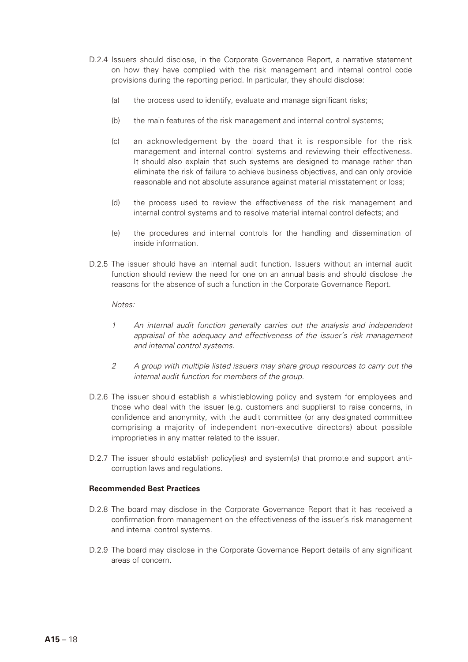- D.2.4 Issuers should disclose, in the Corporate Governance Report, a narrative statement on how they have complied with the risk management and internal control code provisions during the reporting period. In particular, they should disclose:
	- (a) the process used to identify, evaluate and manage significant risks;
	- (b) the main features of the risk management and internal control systems;
	- (c) an acknowledgement by the board that it is responsible for the risk management and internal control systems and reviewing their effectiveness. It should also explain that such systems are designed to manage rather than eliminate the risk of failure to achieve business objectives, and can only provide reasonable and not absolute assurance against material misstatement or loss;
	- (d) the process used to review the effectiveness of the risk management and internal control systems and to resolve material internal control defects; and
	- (e) the procedures and internal controls for the handling and dissemination of inside information.
- D.2.5 The issuer should have an internal audit function. Issuers without an internal audit function should review the need for one on an annual basis and should disclose the reasons for the absence of such a function in the Corporate Governance Report.

#### *Notes:*

- *1 An internal audit function generally carries out the analysis and independent appraisal of the adequacy and effectiveness of the issuer's risk management and internal control systems.*
- *2 A group with multiple listed issuers may share group resources to carry out the internal audit function for members of the group.*
- D.2.6 The issuer should establish a whistleblowing policy and system for employees and those who deal with the issuer (e.g. customers and suppliers) to raise concerns, in confidence and anonymity, with the audit committee (or any designated committee comprising a majority of independent non-executive directors) about possible improprieties in any matter related to the issuer.
- D.2.7 The issuer should establish policy(ies) and system(s) that promote and support anticorruption laws and regulations.

#### **Recommended Best Practices**

- D.2.8 The board may disclose in the Corporate Governance Report that it has received a confirmation from management on the effectiveness of the issuer's risk management and internal control systems.
- D.2.9 The board may disclose in the Corporate Governance Report details of any significant areas of concern.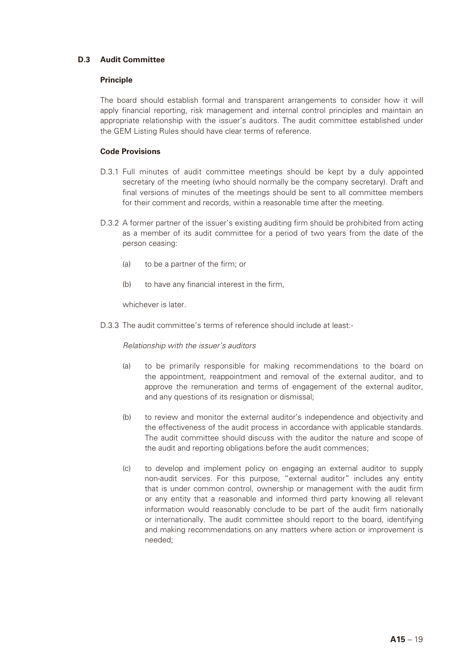## **D.3 Audit Committee**

## **Principle**

The board should establish formal and transparent arrangements to consider how it will apply financial reporting, risk management and internal control principles and maintain an appropriate relationship with the issuer's auditors. The audit committee established under the GEM Listing Rules should have clear terms of reference.

## **Code Provisions**

- D.3.1 Full minutes of audit committee meetings should be kept by a duly appointed secretary of the meeting (who should normally be the company secretary). Draft and final versions of minutes of the meetings should be sent to all committee members for their comment and records, within a reasonable time after the meeting.
- D.3.2 A former partner of the issuer's existing auditing firm should be prohibited from acting as a member of its audit committee for a period of two years from the date of the person ceasing:
	- (a) to be a partner of the firm; or
	- (b) to have any financial interest in the firm,

whichever is later.

D.3.3 The audit committee's terms of reference should include at least:-

#### *Relationship with the issuer's auditors*

- (a) to be primarily responsible for making recommendations to the board on the appointment, reappointment and removal of the external auditor, and to approve the remuneration and terms of engagement of the external auditor, and any questions of its resignation or dismissal;
- (b) to review and monitor the external auditor's independence and objectivity and the effectiveness of the audit process in accordance with applicable standards. The audit committee should discuss with the auditor the nature and scope of the audit and reporting obligations before the audit commences;
- (c) to develop and implement policy on engaging an external auditor to supply non-audit services. For this purpose, "external auditor" includes any entity that is under common control, ownership or management with the audit firm or any entity that a reasonable and informed third party knowing all relevant information would reasonably conclude to be part of the audit firm nationally or internationally. The audit committee should report to the board, identifying and making recommendations on any matters where action or improvement is needed;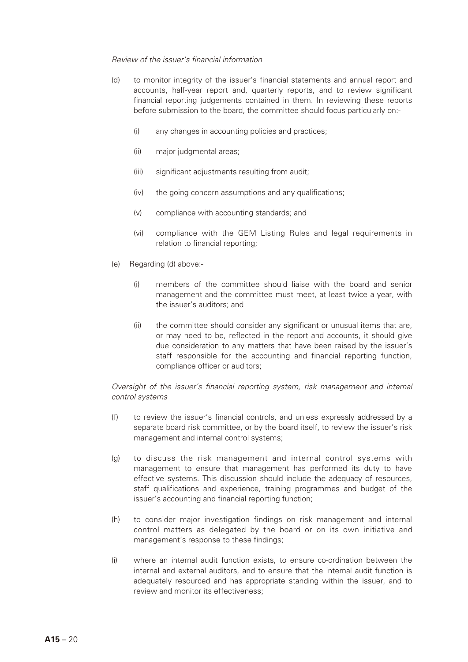#### *Review of the issuer's financial information*

- (d) to monitor integrity of the issuer's financial statements and annual report and accounts, half-year report and, quarterly reports, and to review significant financial reporting judgements contained in them. In reviewing these reports before submission to the board, the committee should focus particularly on:-
	- (i) any changes in accounting policies and practices;
	- (ii) major judgmental areas;
	- (iii) significant adjustments resulting from audit;
	- (iv) the going concern assumptions and any qualifications;
	- (v) compliance with accounting standards; and
	- (vi) compliance with the GEM Listing Rules and legal requirements in relation to financial reporting;
- (e) Regarding (d) above:-
	- (i) members of the committee should liaise with the board and senior management and the committee must meet, at least twice a year, with the issuer's auditors; and
	- (ii) the committee should consider any significant or unusual items that are, or may need to be, reflected in the report and accounts, it should give due consideration to any matters that have been raised by the issuer's staff responsible for the accounting and financial reporting function, compliance officer or auditors;

## *Oversight of the issuer's financial reporting system, risk management and internal control systems*

- (f) to review the issuer's financial controls, and unless expressly addressed by a separate board risk committee, or by the board itself, to review the issuer's risk management and internal control systems;
- (g) to discuss the risk management and internal control systems with management to ensure that management has performed its duty to have effective systems. This discussion should include the adequacy of resources, staff qualifications and experience, training programmes and budget of the issuer's accounting and financial reporting function;
- (h) to consider major investigation findings on risk management and internal control matters as delegated by the board or on its own initiative and management's response to these findings;
- (i) where an internal audit function exists, to ensure co-ordination between the internal and external auditors, and to ensure that the internal audit function is adequately resourced and has appropriate standing within the issuer, and to review and monitor its effectiveness;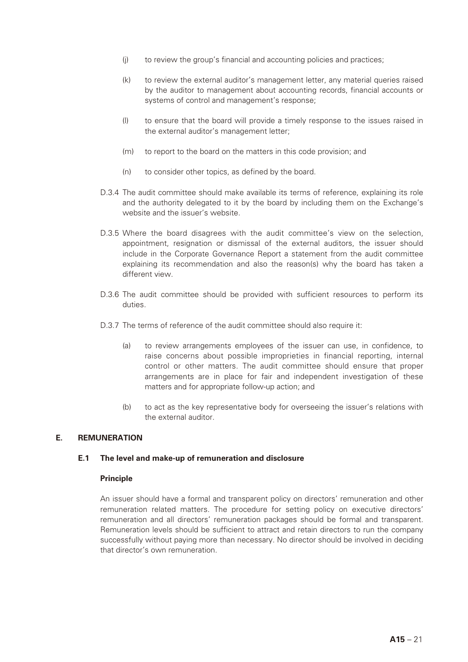- (j) to review the group's financial and accounting policies and practices;
- (k) to review the external auditor's management letter, any material queries raised by the auditor to management about accounting records, financial accounts or systems of control and management's response;
- (l) to ensure that the board will provide a timely response to the issues raised in the external auditor's management letter;
- (m) to report to the board on the matters in this code provision; and
- (n) to consider other topics, as defined by the board.
- D.3.4 The audit committee should make available its terms of reference, explaining its role and the authority delegated to it by the board by including them on the Exchange's website and the issuer's website.
- D.3.5 Where the board disagrees with the audit committee's view on the selection, appointment, resignation or dismissal of the external auditors, the issuer should include in the Corporate Governance Report a statement from the audit committee explaining its recommendation and also the reason(s) why the board has taken a different view.
- D.3.6 The audit committee should be provided with sufficient resources to perform its duties.
- D.3.7 The terms of reference of the audit committee should also require it:
	- (a) to review arrangements employees of the issuer can use, in confidence, to raise concerns about possible improprieties in financial reporting, internal control or other matters. The audit committee should ensure that proper arrangements are in place for fair and independent investigation of these matters and for appropriate follow-up action; and
	- (b) to act as the key representative body for overseeing the issuer's relations with the external auditor.

#### **E. REMUNERATION**

#### **E.1 The level and make-up of remuneration and disclosure**

#### **Principle**

An issuer should have a formal and transparent policy on directors' remuneration and other remuneration related matters. The procedure for setting policy on executive directors' remuneration and all directors' remuneration packages should be formal and transparent. Remuneration levels should be sufficient to attract and retain directors to run the company successfully without paying more than necessary. No director should be involved in deciding that director's own remuneration.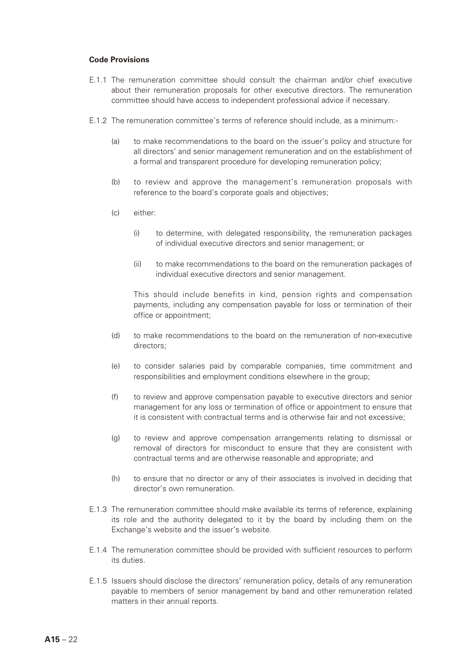#### **Code Provisions**

- E.1.1 The remuneration committee should consult the chairman and/or chief executive about their remuneration proposals for other executive directors. The remuneration committee should have access to independent professional advice if necessary.
- E.1.2 The remuneration committee's terms of reference should include, as a minimum:-
	- (a) to make recommendations to the board on the issuer's policy and structure for all directors' and senior management remuneration and on the establishment of a formal and transparent procedure for developing remuneration policy;
	- (b) to review and approve the management's remuneration proposals with reference to the board's corporate goals and objectives;
	- (c) either:
		- (i) to determine, with delegated responsibility, the remuneration packages of individual executive directors and senior management; or
		- (ii) to make recommendations to the board on the remuneration packages of individual executive directors and senior management.

This should include benefits in kind, pension rights and compensation payments, including any compensation payable for loss or termination of their office or appointment;

- (d) to make recommendations to the board on the remuneration of non-executive directors;
- (e) to consider salaries paid by comparable companies, time commitment and responsibilities and employment conditions elsewhere in the group;
- (f) to review and approve compensation payable to executive directors and senior management for any loss or termination of office or appointment to ensure that it is consistent with contractual terms and is otherwise fair and not excessive;
- (g) to review and approve compensation arrangements relating to dismissal or removal of directors for misconduct to ensure that they are consistent with contractual terms and are otherwise reasonable and appropriate; and
- (h) to ensure that no director or any of their associates is involved in deciding that director's own remuneration.
- E.1.3 The remuneration committee should make available its terms of reference, explaining its role and the authority delegated to it by the board by including them on the Exchange's website and the issuer's website.
- E.1.4 The remuneration committee should be provided with sufficient resources to perform its duties.
- E.1.5 Issuers should disclose the directors' remuneration policy, details of any remuneration payable to members of senior management by band and other remuneration related matters in their annual reports.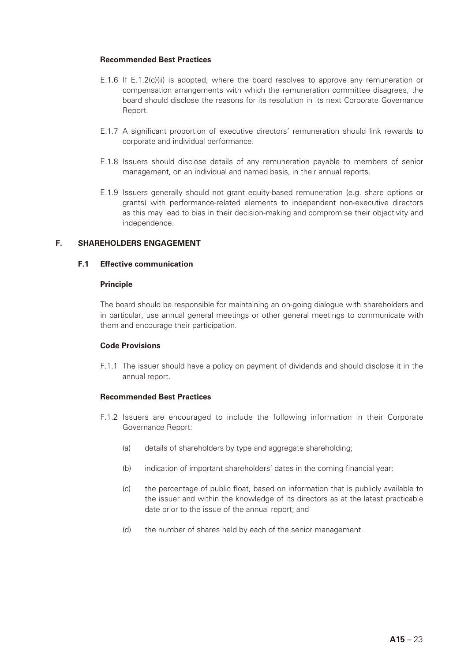#### **Recommended Best Practices**

- E.1.6 If E.1.2(c)(ii) is adopted, where the board resolves to approve any remuneration or compensation arrangements with which the remuneration committee disagrees, the board should disclose the reasons for its resolution in its next Corporate Governance Report.
- E.1.7 A significant proportion of executive directors' remuneration should link rewards to corporate and individual performance.
- E.1.8 Issuers should disclose details of any remuneration payable to members of senior management, on an individual and named basis, in their annual reports.
- E.1.9 Issuers generally should not grant equity-based remuneration (e.g. share options or grants) with performance-related elements to independent non-executive directors as this may lead to bias in their decision-making and compromise their objectivity and independence.

#### **F. SHAREHOLDERS ENGAGEMENT**

#### **F.1 Effective communication**

#### **Principle**

The board should be responsible for maintaining an on-going dialogue with shareholders and in particular, use annual general meetings or other general meetings to communicate with them and encourage their participation.

#### **Code Provisions**

F.1.1 The issuer should have a policy on payment of dividends and should disclose it in the annual report.

#### **Recommended Best Practices**

- F.1.2 Issuers are encouraged to include the following information in their Corporate Governance Report:
	- (a) details of shareholders by type and aggregate shareholding;
	- (b) indication of important shareholders' dates in the coming financial year;
	- (c) the percentage of public float, based on information that is publicly available to the issuer and within the knowledge of its directors as at the latest practicable date prior to the issue of the annual report; and
	- (d) the number of shares held by each of the senior management.